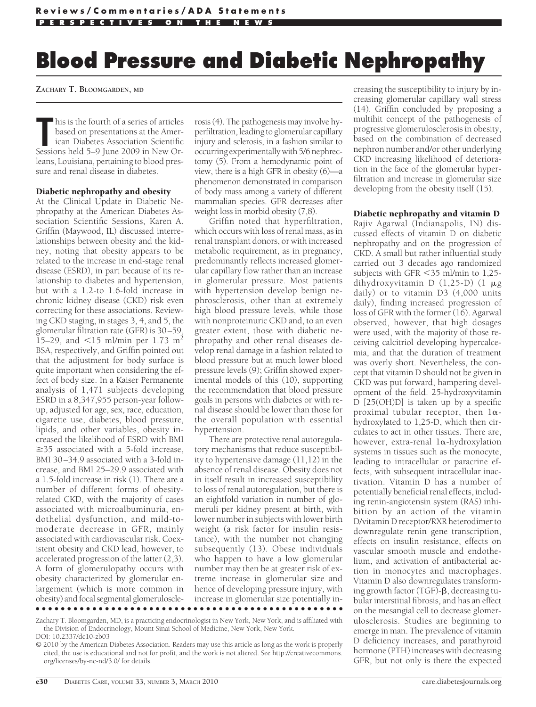# **Blood Pressure and Diabetic Nephropathy**

**ZACHARY T. BLOOMGARDEN, MD**

his is the fourth of a series of articles<br>based on presentations at the Amer-<br>ican Diabetes Association Scientific<br>Sessions held 5–9 June 2009 in New Orhis is the fourth of a series of articles based on presentations at the American Diabetes Association Scientific leans, Louisiana, pertaining to blood pressure and renal disease in diabetes.

## Diabetic nephropathy and obesity

At the Clinical Update in Diabetic Nephropathy at the American Diabetes Association Scientific Sessions, Karen A. Griffin (Maywood, IL) discussed interrelationships between obesity and the kidney, noting that obesity appears to be related to the increase in end-stage renal disease (ESRD), in part because of its relationship to diabetes and hypertension, but with a 1.2-to 1.6-fold increase in chronic kidney disease (CKD) risk even correcting for these associations. Reviewing CKD staging, in stages 3, 4, and 5, the glomerular filtration rate (GFR) is 30 –59, 15–29, and  $\langle 15 \text{ m} \rangle$  min per 1.73 m<sup>2</sup> BSA, respectively, and Griffin pointed out that the adjustment for body surface is quite important when considering the effect of body size. In a Kaiser Permanente analysis of 1,471 subjects developing ESRD in a 8,347,955 person-year followup, adjusted for age, sex, race, education, cigarette use, diabetes, blood pressure, lipids, and other variables, obesity increased the likelihood of ESRD with BMI  $\geq$ 35 associated with a 5-fold increase, BMI 30-34.9 associated with a 3-fold increase, and BMI 25–29.9 associated with a 1.5-fold increase in risk (1). There are a number of different forms of obesityrelated CKD, with the majority of cases associated with microalbuminuria, endothelial dysfunction, and mild-tomoderate decrease in GFR, mainly associated with cardiovascular risk. Coexistent obesity and CKD lead, however, to accelerated progression of the latter (2,3). A form of glomerulopathy occurs with obesity characterized by glomerular enlargement (which is more common in obesity) and focal segmental glomerulosclerosis (4). The pathogenesis may involve hyperfiltration, leading to glomerular capillary injury and sclerosis, in a fashion similar to occurring experimentally with 5/6 nephrectomy (5). From a hemodynamic point of view, there is a high GFR in obesity (6)—a phenomenon demonstrated in comparison of body mass among a variety of different mammalian species. GFR decreases after weight loss in morbid obesity (7,8).

Griffin noted that hyperfiltration, which occurs with loss of renal mass, as in renal transplant donors, or with increased metabolic requirement, as in pregnancy, predominantly reflects increased glomerular capillary flow rather than an increase in glomerular pressure. Most patients with hypertension develop benign nephrosclerosis, other than at extremely high blood pressure levels, while those with nonproteinuric CKD and, to an even greater extent, those with diabetic nephropathy and other renal diseases develop renal damage in a fashion related to blood pressure but at much lower blood pressure levels (9); Griffin showed experimental models of this (10), supporting the recommendation that blood pressure goals in persons with diabetes or with renal disease should be lower than those for the overall population with essential hypertension.

There are protective renal autoregulatory mechanisms that reduce susceptibility to hypertensive damage (11,12) in the absence of renal disease. Obesity does not in itself result in increased susceptibility to loss of renal autoregulation, but there is an eightfold variation in number of glomeruli per kidney present at birth, with lower number in subjects with lower birth weight (a risk factor for insulin resistance), with the number not changing subsequently (13). Obese individuals who happen to have a low glomerular number may then be at greater risk of extreme increase in glomerular size and hence of developing pressure injury, with increase in glomerular size potentially in-●●●●●●●●●●●●●●●●●●●●●●●●●●●●●●●●●●●●●●●●●●●●●●●●●

Zachary T. Bloomgarden, MD, is a practicing endocrinologist in New York, New York, and is affiliated with the Division of Endocrinology, Mount Sinai School of Medicine, New York, New York. DOI: 10.2337/dc10-zb03

© 2010 by the American Diabetes Association. Readers may use this article as long as the work is properly cited, the use is educational and not for profit, and the work is not altered. See http://creativecommons. org/licenses/by-nc-nd/3.0/ for details.

creasing the susceptibility to injury by increasing glomerular capillary wall stress (14). Griffin concluded by proposing a multihit concept of the pathogenesis of progressive glomerulosclerosis in obesity, based on the combination of decreased nephron number and/or other underlying CKD increasing likelihood of deterioration in the face of the glomerular hyperfiltration and increase in glomerular size developing from the obesity itself (15).

## Diabetic nephropathy and vitamin D

Rajiv Agarwal (Indianapolis, IN) discussed effects of vitamin D on diabetic nephropathy and on the progression of CKD. A small but rather influential study carried out 3 decades ago randomized subjects with GFR  $\leq$ 35 ml/min to 1,25dihydroxyvitamin D  $(1, 25$ -D)  $(1 \ \mu g)$ daily) or to vitamin D3 (4,000 units daily), finding increased progression of loss of GFR with the former (16). Agarwal observed, however, that high dosages were used, with the majority of those receiving calcitriol developing hypercalcemia, and that the duration of treatment was overly short. Nevertheless, the concept that vitamin D should not be given in CKD was put forward, hampering development of the field. 25-hydroxyvitamin D [25(OH)D] is taken up by a specific proximal tubular receptor, then  $1\alpha$ hydroxylated to 1,25-D, which then circulates to act in other tissues. There are, however, extra-renal  $1\alpha$ -hydroxylation systems in tissues such as the monocyte, leading to intracellular or paracrine effects, with subsequent intracellular inactivation. Vitamin D has a number of potentially beneficial renal effects, including renin-angiotensin system (RAS) inhibition by an action of the vitamin D/vitamin D receptor/RXR heterodimer to downregulate renin gene transcription, effects on insulin resistance, effects on vascular smooth muscle and endothelium, and activation of antibacterial action in monocytes and macrophages. Vitamin D also downregulates transforming growth factor  $(TGF)-\beta$ , decreasing tubular interstitial fibrosis, and has an effect on the mesangial cell to decrease glomerulosclerosis. Studies are beginning to emerge in man. The prevalence of vitamin D deficiency increases, and parathyroid hormone (PTH) increases with decreasing GFR, but not only is there the expected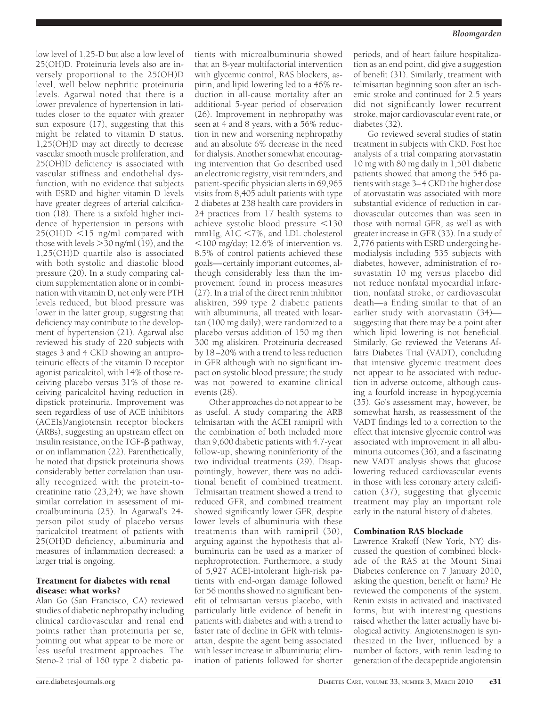low level of 1,25-D but also a low level of 25(OH)D. Proteinuria levels also are inversely proportional to the 25(OH)D level, well below nephritic proteinuria levels. Agarwal noted that there is a lower prevalence of hypertension in latitudes closer to the equator with greater sun exposure (17), suggesting that this might be related to vitamin D status. 1,25(OH)D may act directly to decrease vascular smooth muscle proliferation, and 25(OH)D deficiency is associated with vascular stiffness and endothelial dysfunction, with no evidence that subjects with ESRD and higher vitamin D levels have greater degrees of arterial calcification (18). There is a sixfold higher incidence of hypertension in persons with  $25(OH)D < 15$  ng/ml compared with those with levels  $>30$  ng/ml (19), and the 1,25(OH)D quartile also is associated with both systolic and diastolic blood pressure (20). In a study comparing calcium supplementation alone or in combination with vitamin D, not only were PTH levels reduced, but blood pressure was lower in the latter group, suggesting that deficiency may contribute to the development of hypertension (21). Agarwal also reviewed his study of 220 subjects with stages 3 and 4 CKD showing an antiproteinuric effects of the vitamin D receptor agonist paricalcitol, with 14% of those receiving placebo versus 31% of those receiving paricalcitol having reduction in dipstick proteinuria. Improvement was seen regardless of use of ACE inhibitors (ACEIs)/angiotensin receptor blockers (ARBs), suggesting an upstream effect on insulin resistance, on the  $TGF- $\beta$  pathway,$ or on inflammation (22). Parenthetically, he noted that dipstick proteinuria shows considerably better correlation than usually recognized with the protein-tocreatinine ratio (23,24); we have shown similar correlation in assessment of microalbuminuria (25). In Agarwal's 24 person pilot study of placebo versus paricalcitol treatment of patients with 25(OH)D deficiency, albuminuria and measures of inflammation decreased; a larger trial is ongoing.

## Treatment for diabetes with renal disease: what works?

Alan Go (San Francisco, CA) reviewed studies of diabetic nephropathy including clinical cardiovascular and renal end points rather than proteinuria per se, pointing out what appear to be more or less useful treatment approaches. The Steno-2 trial of 160 type 2 diabetic patients with microalbuminuria showed that an 8-year multifactorial intervention with glycemic control, RAS blockers, aspirin, and lipid lowering led to a 46% reduction in all-cause mortality after an additional 5-year period of observation (26). Improvement in nephropathy was seen at 4 and 8 years, with a 56% reduction in new and worsening nephropathy and an absolute 6% decrease in the need for dialysis. Another somewhat encouraging intervention that Go described used an electronic registry, visit reminders, and patient-specific physician alerts in 69,965 visits from 8,405 adult patients with type 2 diabetes at 238 health care providers in 24 practices from 17 health systems to achieve systolic blood pressure  $\leq 130$ mmHg,  $AIC < 7\%$ , and LDL cholesterol  $100$  mg/day; 12.6% of intervention vs. 8.5% of control patients achieved these goals— certainly important outcomes, although considerably less than the improvement found in process measures (27). In a trial of the direct renin inhibitor aliskiren, 599 type 2 diabetic patients with albuminuria, all treated with losartan (100 mg daily), were randomized to a placebo versus addition of 150 mg then 300 mg aliskiren. Proteinuria decreased by 18 –20% with a trend to less reduction in GFR although with no significant impact on systolic blood pressure; the study was not powered to examine clinical events (28).

Other approaches do not appear to be as useful. A study comparing the ARB telmisartan with the ACEI ramipril with the combination of both included more than 9,600 diabetic patients with 4.7-year follow-up, showing noninferiority of the two individual treatments (29). Disappointingly, however, there was no additional benefit of combined treatment. Telmisartan treatment showed a trend to reduced GFR, and combined treatment showed significantly lower GFR, despite lower levels of albuminuria with these treatments than with ramipril (30), arguing against the hypothesis that albuminuria can be used as a marker of nephroprotection. Furthermore, a study of 5,927 ACEI-intolerant high-risk patients with end-organ damage followed for 56 months showed no significant benefit of telmisartan versus placebo, with particularly little evidence of benefit in patients with diabetes and with a trend to faster rate of decline in GFR with telmisartan, despite the agent being associated with lesser increase in albuminuria; elimination of patients followed for shorter

periods, and of heart failure hospitalization as an end point, did give a suggestion of benefit (31). Similarly, treatment with telmisartan beginning soon after an ischemic stroke and continued for 2.5 years did not significantly lower recurrent stroke, major cardiovascular event rate, or diabetes (32).

Go reviewed several studies of statin treatment in subjects with CKD. Post hoc analysis of a trial comparing atorvastatin 10 mg with 80 mg daily in 1,501 diabetic patients showed that among the 546 patients with stage 3– 4 CKD the higher dose of atorvastatin was associated with more substantial evidence of reduction in cardiovascular outcomes than was seen in those with normal GFR, as well as with greater increase in GFR (33). In a study of 2,776 patients with ESRD undergoing hemodialysis including 535 subjects with diabetes, however, administration of rosuvastatin 10 mg versus placebo did not reduce nonfatal myocardial infarction, nonfatal stroke, or cardiovascular death—a finding similar to that of an earlier study with atorvastatin (34) suggesting that there may be a point after which lipid lowering is not beneficial. Similarly, Go reviewed the Veterans Affairs Diabetes Trial (VADT), concluding that intensive glycemic treatment does not appear to be associated with reduction in adverse outcome, although causing a fourfold increase in hypoglycemia (35). Go's assessment may, however, be somewhat harsh, as reassessment of the VADT findings led to a correction to the effect that intensive glycemic control was associated with improvement in all albuminuria outcomes (36), and a fascinating new VADT analysis shows that glucose lowering reduced cardiovascular events in those with less coronary artery calcification (37), suggesting that glycemic treatment may play an important role early in the natural history of diabetes.

## Combination RAS blockade

Lawrence Krakoff (New York, NY) discussed the question of combined blockade of the RAS at the Mount Sinai Diabetes conference on 7 January 2010, asking the question, benefit or harm? He reviewed the components of the system. Renin exists in activated and inactivated forms, but with interesting questions raised whether the latter actually have biological activity. Angiotensinogen is synthesized in the liver, influenced by a number of factors, with renin leading to generation of the decapeptide angiotensin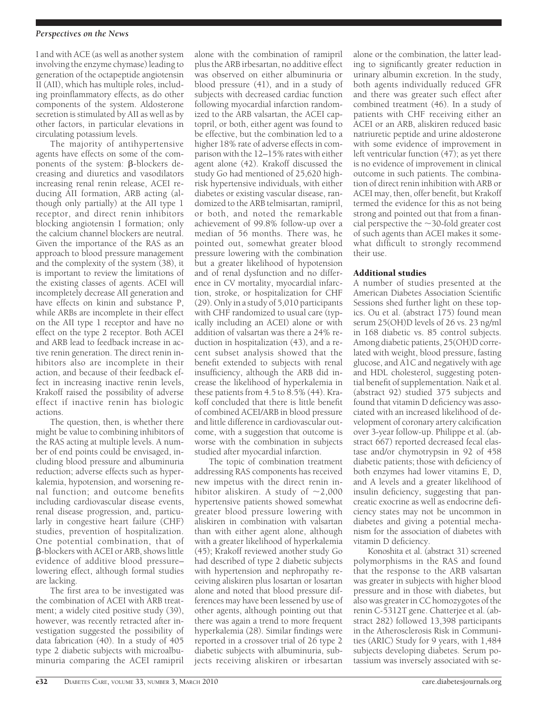## *Perspectives on the News*

I and with ACE (as well as another system involving the enzyme chymase) leading to generation of the octapeptide angiotensin II (AII), which has multiple roles, including proinflammatory effects, as do other components of the system. Aldosterone secretion is stimulated by AII as well as by other factors, in particular elevations in circulating potassium levels.

The majority of antihypertensive agents have effects on some of the components of the system:  $\beta$ -blockers decreasing and diuretics and vasodilators increasing renal renin release, ACEI reducing AII formation, ARB acting (although only partially) at the AII type 1 receptor, and direct renin inhibitors blocking angiotensin I formation; only the calcium channel blockers are neutral. Given the importance of the RAS as an approach to blood pressure management and the complexity of the system (38), it is important to review the limitations of the existing classes of agents. ACEI will incompletely decrease AII generation and have effects on kinin and substance P, while ARBs are incomplete in their effect on the AII type 1 receptor and have no effect on the type 2 receptor. Both ACEI and ARB lead to feedback increase in active renin generation. The direct renin inhibitors also are incomplete in their action, and because of their feedback effect in increasing inactive renin levels, Krakoff raised the possibility of adverse effect if inactive renin has biologic actions.

The question, then, is whether there might be value to combining inhibitors of the RAS acting at multiple levels. A number of end points could be envisaged, including blood pressure and albuminuria reduction; adverse effects such as hyperkalemia, hypotension, and worsening renal function; and outcome benefits including cardiovascular disease events, renal disease progression, and, particularly in congestive heart failure (CHF) studies, prevention of hospitalization. One potential combination, that of -blockers with ACEI or ARB, shows little evidence of additive blood pressure– lowering effect, although formal studies are lacking.

The first area to be investigated was the combination of ACEI with ARB treatment; a widely cited positive study (39), however, was recently retracted after investigation suggested the possibility of data fabrication (40). In a study of 405 type 2 diabetic subjects with microalbuminuria comparing the ACEI ramipril

alone with the combination of ramipril plus the ARB irbesartan, no additive effect was observed on either albuminuria or blood pressure (41), and in a study of subjects with decreased cardiac function following myocardial infarction randomized to the ARB valsartan, the ACEI captopril, or both, either agent was found to be effective, but the combination led to a higher 18% rate of adverse effects in comparison with the 12–15% rates with either agent alone (42). Krakoff discussed the study Go had mentioned of 25,620 highrisk hypertensive individuals, with either diabetes or existing vascular disease, randomized to the ARB telmisartan, ramipril, or both, and noted the remarkable achievement of 99.8% follow-up over a median of 56 months. There was, he pointed out, somewhat greater blood pressure lowering with the combination but a greater likelihood of hypotension and of renal dysfunction and no difference in CV mortality, myocardial infarction, stroke, or hospitalization for CHF (29). Only in a study of 5,010 participants with CHF randomized to usual care (typically including an ACEI) alone or with addition of valsartan was there a 24% reduction in hospitalization (43), and a recent subset analysis showed that the benefit extended to subjects with renal insufficiency, although the ARB did increase the likelihood of hyperkalemia in these patients from 4.5 to 8.5% (44). Krakoff concluded that there is little benefit of combined ACEI/ARB in blood pressure and little difference in cardiovascular outcome, with a suggestion that outcome is worse with the combination in subjects studied after myocardial infarction.

The topic of combination treatment addressing RAS components has received new impetus with the direct renin inhibitor aliskiren. A study of  $\sim$ 2,000 hypertensive patients showed somewhat greater blood pressure lowering with aliskiren in combination with valsartan than with either agent alone, although with a greater likelihood of hyperkalemia (45); Krakoff reviewed another study Go had described of type 2 diabetic subjects with hypertension and nephropathy receiving aliskiren plus losartan or losartan alone and noted that blood pressure differences may have been lessened by use of other agents, although pointing out that there was again a trend to more frequent hyperkalemia (28). Similar findings were reported in a crossover trial of 26 type 2 diabetic subjects with albuminuria, subjects receiving aliskiren or irbesartan

alone or the combination, the latter leading to significantly greater reduction in urinary albumin excretion. In the study, both agents individually reduced GFR and there was greater such effect after combined treatment (46). In a study of patients with CHF receiving either an ACEI or an ARB, aliskiren reduced basic natriuretic peptide and urine aldosterone with some evidence of improvement in left ventricular function  $(47)$ ; as yet there is no evidence of improvement in clinical outcome in such patients. The combination of direct renin inhibition with ARB or ACEI may, then, offer benefit, but Krakoff termed the evidence for this as not being strong and pointed out that from a financial perspective the  $\sim$ 30-fold greater cost of such agents than ACEI makes it somewhat difficult to strongly recommend their use.

## Additional studies

A number of studies presented at the American Diabetes Association Scientific Sessions shed further light on these topics. Ou et al. (abstract 175) found mean serum 25(OH)D levels of 26 vs. 23 ng/ml in 168 diabetic vs. 85 control subjects. Among diabetic patients, 25(OH)D correlated with weight, blood pressure, fasting glucose, and A1C and negatively with age and HDL cholesterol, suggesting potential benefit of supplementation. Naik et al. (abstract 92) studied 375 subjects and found that vitamin D deficiency was associated with an increased likelihood of development of coronary artery calcification over 3-year follow-up. Philippe et al. (abstract 667) reported decreased fecal elastase and/or chymotrypsin in 92 of 458 diabetic patients; those with deficiency of both enzymes had lower vitamins E, D, and A levels and a greater likelihood of insulin deficiency, suggesting that pancreatic exocrine as well as endocrine deficiency states may not be uncommon in diabetes and giving a potential mechanism for the association of diabetes with vitamin D deficiency.

Konoshita et al. (abstract 31) screened polymorphisms in the RAS and found that the response to the ARB valsartan was greater in subjects with higher blood pressure and in those with diabetes, but also was greater in CC homozygotes of the renin C-5312T gene. Chatterjee et al. (abstract 282) followed 13,398 participants in the Atherosclerosis Risk in Communities (ARIC) Study for 9 years, with 1,484 subjects developing diabetes. Serum potassium was inversely associated with se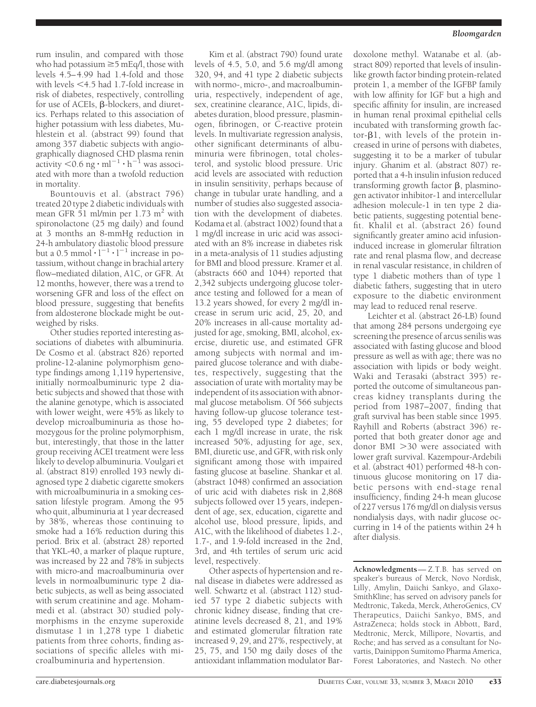rum insulin, and compared with those who had potassium  $\geq$  5 mEq/l, those with levels 4.5– 4.99 had 1.4-fold and those with levels  $\leq$ 4.5 had 1.7-fold increase in risk of diabetes, respectively, controlling for use of ACEIs,  $\beta$ -blockers, and diuretics. Perhaps related to this association of higher potassium with less diabetes, Muhlestein et al. (abstract 99) found that among 357 diabetic subjects with angiographically diagnosed CHD plasma renin activity  $<$  0.6 ng  $\cdot$  ml<sup>-1</sup>  $\cdot$  h<sup>-1</sup> was associated with more than a twofold reduction in mortality.

Bountouvis et al. (abstract 796) treated 20 type 2 diabetic individuals with mean GFR 51 ml/min per  $1.73$  m<sup>2</sup> with spironolactone (25 mg daily) and found at 3 months an 8-mmHg reduction in 24-h ambulatory diastolic blood pressure but a 0.5 mmol $\cdot$  l<sup>-1</sup> · l<sup>-1</sup> increase in potassium, without change in brachial artery flow–mediated dilation, A1C, or GFR. At 12 months, however, there was a trend to worsening GFR and loss of the effect on blood pressure, suggesting that benefits from aldosterone blockade might be outweighed by risks.

Other studies reported interesting associations of diabetes with albuminuria. De Cosmo et al. (abstract 826) reported proline-12-alanine polymorphism genotype findings among 1,119 hypertensive, initially normoalbuminuric type 2 diabetic subjects and showed that those with the alanine genotype, which is associated with lower weight, were 45% as likely to develop microalbuminuria as those homozygous for the proline polymorphism, but, interestingly, that those in the latter group receiving ACEI treatment were less likely to develop albuminuria. Voulgari et al. (abstract 819) enrolled 193 newly diagnosed type 2 diabetic cigarette smokers with microalbuminuria in a smoking cessation lifestyle program. Among the 95 who quit, albuminuria at 1 year decreased by 38%, whereas those continuing to smoke had a 16% reduction during this period. Brix et al. (abstract 28) reported that YKL-40, a marker of plaque rupture, was increased by 22 and 78% in subjects with micro-and macroalbuminuria over levels in normoalbuminuric type 2 diabetic subjects, as well as being associated with serum creatinine and age. Mohammedi et al. (abstract 30) studied polymorphisms in the enzyme superoxide dismutase 1 in 1,278 type 1 diabetic patients from three cohorts, finding associations of specific alleles with microalbuminuria and hypertension.

Kim et al. (abstract 790) found urate levels of 4.5, 5.0, and 5.6 mg/dl among 320, 94, and 41 type 2 diabetic subjects with normo-, micro-, and macroalbuminuria, respectively, independent of age, sex, creatinine clearance, A1C, lipids, diabetes duration, blood pressure, plasminogen, fibrinogen, or C-reactive protein levels. In multivariate regression analysis, other significant determinants of albuminuria were fibrinogen, total cholesterol, and systolic blood pressure. Uric acid levels are associated with reduction in insulin sensitivity, perhaps because of change in tubular urate handling, and a number of studies also suggested association with the development of diabetes. Kodama et al. (abstract 1002) found that a 1 mg/dl increase in uric acid was associated with an 8% increase in diabetes risk in a meta-analysis of 11 studies adjusting for BMI and blood pressure. Kramer et al. (abstracts 660 and 1044) reported that 2,342 subjects undergoing glucose tolerance testing and followed for a mean of 13.2 years showed, for every 2 mg/dl increase in serum uric acid, 25, 20, and 20% increases in all-cause mortality adjusted for age, smoking, BMI, alcohol, exercise, diuretic use, and estimated GFR among subjects with normal and impaired glucose tolerance and with diabetes, respectively, suggesting that the association of urate with mortality may be independent of its association with abnormal glucose metabolism. Of 566 subjects having follow-up glucose tolerance testing, 55 developed type 2 diabetes; for each 1 mg/dl increase in urate, the risk increased 50%, adjusting for age, sex, BMI, diuretic use, and GFR, with risk only significant among those with impaired fasting glucose at baseline. Shankar et al. (abstract 1048) confirmed an association of uric acid with diabetes risk in 2,868 subjects followed over 15 years, independent of age, sex, education, cigarette and alcohol use, blood pressure, lipids, and A1C, with the likelihood of diabetes 1.2-, 1.7-, and 1.9-fold increased in the 2nd, 3rd, and 4th tertiles of serum uric acid level, respectively.

Other aspects of hypertension and renal disease in diabetes were addressed as well. Schwartz et al. (abstract 112) studied 57 type 2 diabetic subjects with chronic kidney disease, finding that creatinine levels decreased 8, 21, and 19% and estimated glomerular filtration rate increased 9, 29, and 27%, respectively, at 25, 75, and 150 mg daily doses of the antioxidant inflammation modulator Bardoxolone methyl. Watanabe et al. (abstract 809) reported that levels of insulinlike growth factor binding protein-related protein 1, a member of the IGFBP family with low affinity for IGF but a high and specific affinity for insulin, are increased in human renal proximal epithelial cells incubated with transforming growth factor- $\beta$ 1, with levels of the protein increased in urine of persons with diabetes, suggesting it to be a marker of tubular injury. Ghanim et al. (abstract 807) reported that a 4-h insulin infusion reduced transforming growth factor  $\beta$ , plasminogen activator inhibitor-1 and intercellular adhesion molecule-1 in ten type 2 diabetic patients, suggesting potential benefit. Khalil et al. (abstract 26) found significantly greater amino acid infusioninduced increase in glomerular filtration rate and renal plasma flow, and decrease in renal vascular resistance, in children of type 1 diabetic mothers than of type 1 diabetic fathers, suggesting that in utero exposure to the diabetic environment may lead to reduced renal reserve.

Leichter et al. (abstract 26-LB) found that among 284 persons undergoing eye screening the presence of arcus senilis was associated with fasting glucose and blood pressure as well as with age; there was no association with lipids or body weight. Waki and Terasaki (abstract 395) reported the outcome of simultaneous pancreas kidney transplants during the period from 1987–2007, finding that graft survival has been stable since 1995. Rayhill and Roberts (abstract 396) reported that both greater donor age and donor BMI > 30 were associated with lower graft survival. Kazempour-Ardebili et al. (abstract 401) performed 48-h continuous glucose monitoring on 17 diabetic persons with end-stage renal insufficiency, finding 24-h mean glucose of 227 versus 176 mg/dl on dialysis versus nondialysis days, with nadir glucose occurring in 14 of the patients within 24 h after dialysis.

**Acknowledgments**— Z.T.B. has served on speaker's bureaus of Merck, Novo Nordisk, Lilly, Amylin, Daiichi Sankyo, and Glaxo-SmithKline; has served on advisory panels for Medtronic, Takeda, Merck, AtheroGenics, CV Therapeutics, Daiichi Sankyo, BMS, and AstraZeneca; holds stock in Abbott, Bard, Medtronic, Merck, Millipore, Novartis, and Roche; and has served as a consultant for Novartis, Dainippon Sumitomo Pharma America, Forest Laboratories, and Nastech. No other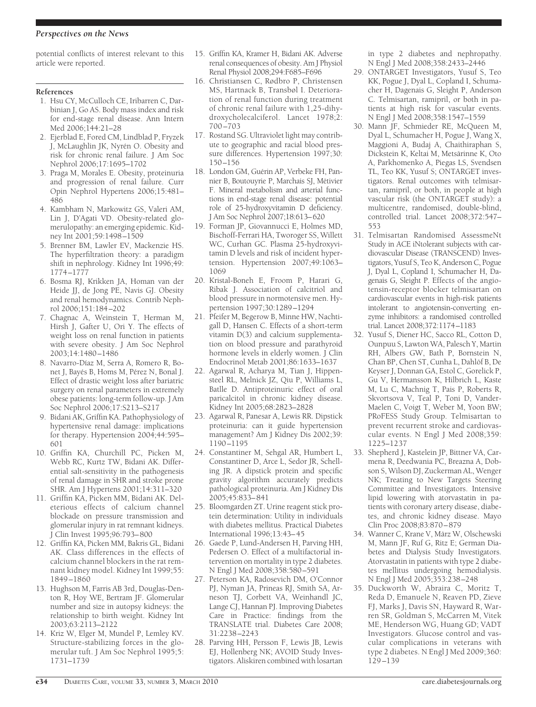### *Perspectives on the News*

potential conflicts of interest relevant to this article were reported.

#### **References**

- 1. Hsu CY, McCulloch CE, Iribarren C, Darbinian J, Go AS. Body mass index and risk for end-stage renal disease. Ann Intern Med 2006;144:21–28
- 2. Ejerblad E, Fored CM, Lindblad P, Fryzek J, McLaughlin JK, Nyrén O. Obesity and risk for chronic renal failure. J Am Soc Nephrol 2006;17:1695–1702
- 3. Praga M, Morales E. Obesity, proteinuria and progression of renal failure. Curr Opin Nephrol Hypertens 2006;15:481– 486
- 4. Kambham N, Markowitz GS, Valeri AM, Lin J, D'Agati VD. Obesity-related glomerulopathy: an emerging epidemic. Kidney Int 2001;59:1498 –1509
- 5. Brenner BM, Lawler EV, Mackenzie HS. The hyperfiltration theory: a paradigm shift in nephrology. Kidney Int 1996;49: 1774 –1777
- 6. Bosma RJ, Krikken JA, Homan van der Heide JJ, de Jong PE, Navis GJ. Obesity and renal hemodynamics. Contrib Nephrol 2006;151:184 –202
- 7. Chagnac A, Weinstein T, Herman M, Hirsh J, Gafter U, Ori Y. The effects of weight loss on renal function in patients with severe obesity. J Am Soc Nephrol 2003;14:1480 –1486
- 8. Navarro-Díaz M, Serra A, Romero R, Bonet J, Bayés B, Homs M, Pérez N, Bonal J. Effect of drastic weight loss after bariatric surgery on renal parameters in extremely obese patients: long-term follow-up. J Am Soc Nephrol 2006;17:S213–S217
- 9. Bidani AK, Griffin KA. Pathophysiology of hypertensive renal damage: implications for therapy. Hypertension 2004;44:595– 601
- 10. Griffin KA, Churchill PC, Picken M, Webb RC, Kurtz TW, Bidani AK. Differential salt-sensitivity in the pathogenesis of renal damage in SHR and stroke prone SHR. Am J Hypertens 2001;14:311–320
- 11. Griffin KA, Picken MM, Bidani AK. Deleterious effects of calcium channel blockade on pressure transmission and glomerular injury in rat remnant kidneys. J Clin Invest 1995;96:793– 800
- 12. Griffin KA, Picken MM, Bakris GL, Bidani AK. Class differences in the effects of calcium channel blockers in the rat remnant kidney model. Kidney Int 1999;55: 1849 –1860
- 13. Hughson M, Farris AB 3rd, Douglas-Denton R, Hoy WE, Bertram JF. Glomerular number and size in autopsy kidneys: the relationship to birth weight. Kidney Int 2003;63:2113–2122
- 14. Kriz W, Elger M, Mundel P, Lemley KV. Structure-stabilizing forces in the glomerular tuft. J Am Soc Nephrol 1995;5: 1731–1739
- 15. Griffin KA, Kramer H, Bidani AK. Adverse renal consequences of obesity. Am J Physiol Renal Physiol 2008;294:F685–F696
- 16. Christiansen C, Rødbro P, Christensen MS, Hartnack B, Transbøl I. Deterioration of renal function during treatment of chronic renal failure with 1,25-dihydroxycholecalciferol. Lancet 1978;2: 700 –703
- 17. Rostand SG. Ultraviolet light may contribute to geographic and racial blood pressure differences. Hypertension 1997;30: 150 –156
- 18. London GM, Guérin AP, Verbeke FH, Pannier B, Boutouyrie P, Marchais SJ, Mëtivier F. Mineral metabolism and arterial functions in end-stage renal disease: potential role of 25-hydroxyvitamin D deficiency. J Am Soc Nephrol 2007;18:613–620
- 19. Forman JP, Giovannucci E, Holmes MD, Bischoff-Ferrari HA, Tworoger SS, Willett WC, Curhan GC. Plasma 25-hydroxyvitamin D levels and risk of incident hypertension. Hypertension 2007;49:1063– 1069
- 20. Kristal-Boneh E, Froom P, Harari G, Ribak J. Association of calcitriol and blood pressure in normotensive men. Hypertension 1997;30:1289 –1294
- 21. Pfeifer M, Begerow B, Minne HW, Nachtigall D, Hansen C. Effects of a short-term vitamin D(3) and calcium supplementation on blood pressure and parathyroid hormone levels in elderly women. J Clin Endocrinol Metab 2001;86:1633–1637
- 22. Agarwal R, Acharya M, Tian J, Hippensteel RL, Melnick JZ, Qiu P, Williams L, Batlle D. Antiproteinuric effect of oral paricalcitol in chronic kidney disease. Kidney Int 2005;68:2823–2828
- 23. Agarwal R, Panesar A, Lewis RR. Dipstick proteinuria: can it guide hypertension management? Am J Kidney Dis 2002;39: 1190 –1195
- 24. Constantiner M, Sehgal AR, Humbert L, Constantiner D, Arce L, Sedor JR, Schelling JR. A dipstick protein and specific gravity algorithm accurately predicts pathological proteinuria. Am J Kidney Dis 2005;45:833– 841
- 25. Bloomgarden ZT. Urine reagent stick protein determination: Utility in individuals with diabetes mellitus. Practical Diabetes International 1996;13:43– 45
- 26. Gaede P, Lund-Andersen H, Parving HH, Pedersen O. Effect of a multifactorial intervention on mortality in type 2 diabetes. N Engl J Med 2008;358:580 –591
- 27. Peterson KA, Radosevich DM, O'Connor PJ, Nyman JA, Prineas RJ, Smith SA, Arneson TJ, Corbett VA, Weinhandl JC, Lange CJ, Hannan PJ. Improving Diabetes Care in Practice: findings from the TRANSLATE trial. Diabetes Care 2008; 31:2238 –2243
- 28. Parving HH, Persson F, Lewis JB, Lewis EJ, Hollenberg NK; AVOID Study Investigators. Aliskiren combined with losartan

in type 2 diabetes and nephropathy. N Engl J Med 2008;358:2433–2446

- 29. ONTARGET Investigators, Yusuf S, Teo KK, Pogue J, Dyal L, Copland I, Schumacher H, Dagenais G, Sleight P, Anderson C. Telmisartan, ramipril, or both in patients at high risk for vascular events. N Engl J Med 2008;358:1547–1559
- 30. Mann JF, Schmieder RE, McQueen M, Dyal L, Schumacher H, Pogue J, Wang X, Maggioni A, Budaj A, Chaithiraphan S, Dickstein K, Keltai M, Metsärinne K, Oto A, Parkhomenko A, Piegas LS, Svendsen TL, Teo KK, Yusuf S; ONTARGET investigators. Renal outcomes with telmisartan, ramipril, or both, in people at high vascular risk (the ONTARGET study): a multicentre, randomised, double-blind, controlled trial. Lancet 2008;372:547– 553
- 31. Telmisartan Randomised AssessmeNt Study in ACE iNtolerant subjects with cardiovascular Disease (TRANSCEND) Investigators, Yusuf S, Teo K, Anderson C, Pogue J, Dyal L, Copland I, Schumacher H, Dagenais G, Sleight P. Effects of the angiotensin-receptor blocker telmisartan on cardiovascular events in high-risk patients intolerant to angiotensin-converting enzyme inhibitors: a randomised controlled trial. Lancet 2008;372:1174 –1183
- 32. Yusuf S, Diener HC, Sacco RL, Cotton D, Ounpuu S, Lawton WA, Palesch Y, Martin RH, Albers GW, Bath P, Bornstein N, Chan BP, Chen ST, Cunha L, Dahlöf B, De Keyser J, Donnan GA, Estol C, Gorelick P, Gu V, Hermansson K, Hilbrich L, Kaste M, Lu C, Machnig T, Pais P, Roberts R, Skvortsova V, Teal P, Toni D, Vander-Maelen C, Voigt T, Weber M, Yoon BW; PRoFESS Study Group. Telmisartan to prevent recurrent stroke and cardiovascular events. N Engl J Med 2008;359: 1225–1237
- 33. Shepherd J, Kastelein JP, Bittner VA, Carmena R, Deedwania PC, Breazna A, Dobson S, Wilson DJ, Zuckerman AL, Wenger NK; Treating to New Targets Steering Committee and Investigators. Intensive lipid lowering with atorvastatin in patients with coronary artery disease, diabetes, and chronic kidney disease. Mayo Clin Proc 2008;83:870 – 879
- 34. Wanner C, Krane V, März W, Olschewski M, Mann JF, Ruf G, Ritz E; German Diabetes and Dialysis Study Investigators. Atorvastatin in patients with type 2 diabetes mellitus undergoing hemodialysis. N Engl J Med 2005;353:238 –248
- 35. Duckworth W, Abraira C, Moritz T, Reda D, Emanuele N, Reaven PD, Zieve FJ, Marks J, Davis SN, Hayward R, Warren SR, Goldman S, McCarren M, Vitek ME, Henderson WG, Huang GD; VADT Investigators. Glucose control and vascular complications in veterans with type 2 diabetes. N Engl J Med 2009;360: 129 –139